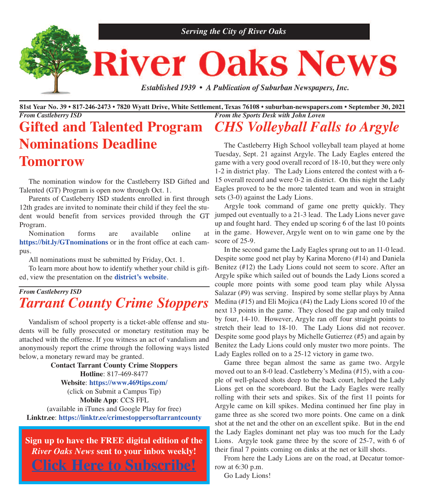

81st Year No. 39 • 817-246-2473 • 7820 Wyatt Drive, White Settlement, Texas 76108 • suburban-newspapers.com • September 30, 2021 *From the Sports Desk with John Loven From Castleberry ISD*

# **Gifted and Talented Program Nominations Deadline Tomorrow**

 The nomination window for the Castleberry ISD Gifted and Talented (GT) Program is open now through Oct. 1.

 Parents of Castleberry ISD students enrolled in first through 12th grades are invited to nominate their child if they feel the student would benefit from services provided through the GT Program.

 Nomination forms are available online at **<https://bit.ly/GTnominations>** or in the front office at each campus.

All nominations must be submitted by Friday, Oct. 1.

 To learn more about how to identify whether your child is gifted, view the presentation on the **[district's](https://bit.ly/GTnominations?fbclid=IwAR2ufxpa6TEAoe4NnRl5vv_Xq8HU8l1toNK5qyTRwx5eM3YLpbq7N7BvR-o) website**.

## *From Castleberry ISD Tarrant County Crime Stoppers*

 Vandalism of school property is a ticket-able offense and students will be fully prosecuted or monetary restitution may be attached with the offense. If you witness an act of vandalism and anonymously report the crime through the following ways listed below, a monetary reward may be granted.

**Contact Tarrant County Crime Stoppers Hotline**: 817-469-8477 **Website**: **[https://www.469tips.com/](https://www.469tips.com)** (click on Submit a Campus Tip) **Mobile App**: CCS FFL (available in iTunes and Google Play for free) **Linktr.ee**: **<https://linktr.ee/crimestoppersoftarrantcounty>**

**Sign up to have the FREE digital edition of the** *River Oaks News* **sent to your inbox weekly! Click Here to [Subscribe!](http://eepurl.com/g3m8OX)**

*CHS Volleyball Falls to Argyle*

 The Castleberry High School volleyball team played at home Tuesday, Sept. 21 against Argyle. The Lady Eagles entered the game with a very good overall record of 18-10, but they were only 1-2 in district play. The Lady Lions entered the contest with a 6- 15 overall record and were 0-2 in district. On this night the Lady Eagles proved to be the more talented team and won in straight sets (3-0) against the Lady Lions.

 Argyle took command of game one pretty quickly. They jumped out eventually to a 21-3 lead. The Lady Lions never gave up and fought hard. They ended up scoring 6 of the last 10 points in the game. However, Argyle went on to win game one by the score of 25-9.

 In the second game the Lady Eagles sprang out to an 11-0 lead. Despite some good net play by Karina Moreno (#14) and Daniela Benitez (#12) the Lady Lions could not seem to score. After an Argyle spike which sailed out of bounds the Lady Lions scored a couple more points with some good team play while Alyssa Salazar (#9) was serving. Inspired by some stellar plays by Anna Medina (#15) and Eli Mojica (#4) the Lady Lions scored 10 of the next 13 points in the game. They closed the gap and only trailed by four, 14-10. However, Argyle ran off four straight points to stretch their lead to 18-10. The Lady Lions did not recover. Despite some good plays by Michelle Gutierrez (#5) and again by Benitez the Lady Lions could only muster two more points. The Lady Eagles rolled on to a 25-12 victory in game two.

 Game three began almost the same as game two. Argyle moved out to an 8-0 lead. Castleberry's Medina (#15), with a couple of well-placed shots deep to the back court, helped the Lady Lions get on the scoreboard. But the Lady Eagles were really rolling with their sets and spikes. Six of the first 11 points for Argyle came on kill spikes. Medina continued her fine play in game three as she scored two more points. One came on a dink shot at the net and the other on an excellent spike. But in the end the Lady Eagles dominant net play was too much for the Lady Lions. Argyle took game three by the score of 25-7, with 6 of their final 7 points coming on dinks at the net or kill shots.

 From here the Lady Lions are on the road, at Decatur tomorrow at 6:30 p.m.

Go Lady Lions!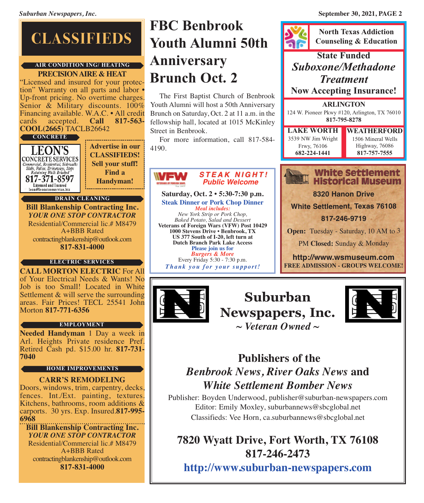# **CLASSIFIEDS**

### **PRECISIONAIRE & HEAT air condition ing/ heating**

"Licensed and insured for your protection" Warranty on all parts and labor • Up-front pricing. No overtime charges. Senior & Military discounts. 100% Financing available. W.A.C. • All credit cards accepted. **Call 817-563**cards accepted. **Call 817-563- COOL(2665)** TACLB26642

### **CONCRETE**

| <b>LEON'S</b><br><b>CONCRETE SERVICES</b><br>Commercial, Residential, Sidewalks<br>Slabs, Patios, Driveways, Steps<br>Retaining Walls Brushed<br>817-371-8597<br>Licensed and Insured<br>leon@leonstreeservice.biz | <b>Advertise in our</b><br><b>CLASSIFIEDS!</b><br><b>Sell your stuff!</b><br><b>Find a</b><br>Handyman! |  |  |  |  |
|--------------------------------------------------------------------------------------------------------------------------------------------------------------------------------------------------------------------|---------------------------------------------------------------------------------------------------------|--|--|--|--|
| <b>DRAIN CLEANING</b>                                                                                                                                                                                              |                                                                                                         |  |  |  |  |
| <b>Rill Blankenshin Contracting Inc</b>                                                                                                                                                                            |                                                                                                         |  |  |  |  |

**Bill Blankenship Contracting Inc.** *YOUR ONE STOP CONTRACTOR* Residential/Commercial lic.# M8479 A+BBB Rated contractingblankenship@outlook.com **817-831-4000**

### **electric services**

**CALL MORTON ELECTRIC** For All of Your Electrical Needs & Wants! No Job is too Small! Located in White Settlement & will serve the surrounding areas. Fair Prices! TECL 25541 John Morton **817-771-6356**

### **employment**

**Needed Handyman** 1 Day a week in Retired Cash pd. \$15.00 hr. **817-731-7040** 

### **home improvements**

**CARR'S REMODELING** Doors, windows, trim, carpentry, decks, fences. Int./Ext. painting, textures. Kitchens, bathrooms, room additions & carports. 30 yrs. Exp. Insured.**817-995- 6968**

**Bill Blankenship Contracting Inc.** *YOUR ONE STOP CONTRACTOR* Residential/Commercial lic.# M8479 A+BBB Rated contractingblankenship@outlook.com **817-831-4000**

# **FBc Benbrook youth alumni 50th anniversary Brunch oct. 2**

 The First Baptist Church of Benbrook Youth Alumni will host a 50th Anniversary Brunch on Saturday, Oct. 2 at 11 a.m. in the fellowship hall, located at 1015 McKinley Street in Benbrook.

 For more information, call 817-584- 4190.



**Saturday, Oct. 2 • 5:30-7:30 p.m. Steak Dinner or Pork Chop Dinner** *Meal includes: New York Strip or Pork Chop, Baked Potato, Salad and Dessert*

**Veterans of Foreign Wars (VFW) Post 10429 1000 Stevens Drive • Benbrook, TX US 377 South of I-20, left turn at Dutch Branch Park Lake Access Please join us for** *Burgers & More* Every Friday 5:30 - 7:30 p.m.

*Thank you f o r your sup p o rt!*



**<http://www.wsmuseum.com> FREE ADMISSION - GROUPS WELCOME!**



**Suburban Newspapers, Inc.** *~ Veteran Owned ~*



## **Publishers of the** *Benbrook News, River Oaks News* **and** *White Settlement Bomber News*

Publisher: Boyden Underwood, publisher@suburban-newspapers.com Editor: Emily Moxley, suburbannews@sbcglobal.net Classifieds: Vee Horn, ca.suburbannews@sbcglobal.net

**7820 Wyatt Drive, Fort Worth, TX 76108 817-246-2473**

**<http://www.suburban-newspapers.com>**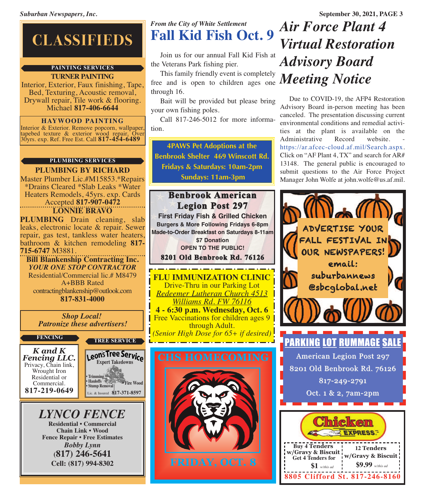# **CLASSIFIEDS**

### **painting services**

### **TURNER PAINTING**

Interior, Exterior, Faux finishing, Tape, Bed, Texturing, Acoustic removal, Drywall repair, Tile work & flooring. Michael **817-406-6644**

**HAYWOOD PAINTING**<br>Interior & Exterior. Remove popcorn, wallpaper, Interior & Exterior. Remove popcorn, wallpaper, tapebed texture & exterior wood repair, Over 30yrs. exp. Ref. Free Est. Call **817-454-6489**

### **plumBing services**

**PLUMBING BY RICHARD** Master Plumber Lic.#M15853.\*Repairs \*Drains Cleared \*Slab Leaks \*Water Heaters Remodels, 45yrs. exp. Cards Accepted **817-907-0472 LONNIE BRAVO**

**PLUMBING** Drain cleaning, slab leaks, electronic locate & repair. Sewer repair, gas test, tankless water heaters, bathroom & kitchen remodeling **817- 715-6747** M3881.

**Bill Blankenship Contracting Inc.** *YOUR ONE STOP CONTRACTOR* Residential/Commercial lic.# M8479 A+BBB Rated contractingblankenship@outlook.com **817-831-4000**

*Shop Local! Patronize these advertisers!*

### **Fencing tree service**

*K and K Fencing LLC.* Privacy, Chain link, Wrought Iron Residential or Commercial. **817-219-0649**

**• Trimming • Hauloffs • Stump Removal** Leon's Tree Service Lic. & Insured **817-371-8597 • Fire Wood**

### *LYNCO FENCE* **Residential • Commercial Chain Link • Wood Fence Repair • Free Estimates** *Bobby Lynn* **(817) 246-5641 Cell: (817) 994-8302**

## *From the City of White Settlement* **Fall Kid Fish Oct. 9**

 Join us for our annual Fall Kid Fish at the Veterans Park fishing pier.

Inistamily friendly event is completely **Meeting Notice**  This family friendly event is completely through 16.

 Bait will be provided but please bring your own fishing poles.

 Call 817-246-5012 for more information.

**4PAWS Pet Adoptions at the Benbrook Shelter 469 Winscott Rd. Fridays & Saturdays: 10am-2pm Sundays: 11am-3pm**

## **Benbrook American Legion Post 297**

**First Friday Fish & Grilled Chicken Burgers & More Following Fridays 6-8pm Made-to-Order Breakfast on Saturdays 8-11am**

**\$7 Donation OPEN TO THE PUBLIC!**

**8201 Old Benbrook Rd. 76126**

**FLU IMMUNIZATION CLINIC** Drive-Thru in our Parking Lot *Redeemer Lutheran Church 4513 Williams Rd. FW 76116* **4 - 6:30 p.m. Wednesday, Oct. 6** Free Vaccinations for children ages 9

through Adult. *(Senior High Dose for 65+ if desired)*



**FRIDAY, OCT. 8**

# *Air Force Plant 4 Virtual Restoration Advisory Board*

 Due to COVID-19, the AFP4 Restoration Advisory Board in-person meeting has been canceled. The presentation discussing current environmental conditions and remedial activities at the plant is available on the Administrative Record website. [https://ar.afcec-cloud.af.mil/Search.aspx.](https://ar.afcec-cloud.af.mil/Search.aspx) Click on "AF Plant 4, TX" and search for AR# 13148. The general public is encouraged to submit questions to the Air Force Project Manager John Wolfe at john.wolfe@us.af.mil.

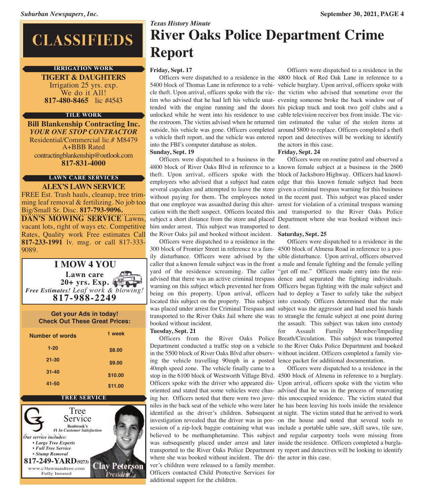# **CLASSIFIEDS**

### **irrigation WorK**

**TIGERT & DAUGHTERS** Irrigation <sup>25</sup> yrs. exp. We do it All! **817-480-8465** lic #4543

### **tile WorK**

**Bill Blankenship Contracting Inc.** *YOUR ONE STOP CONTRACTOR* Residential/Commercial lic.# M8479 A+BBB Rated contractingblankenship@outlook.com **817-831-4000**

## **laWn care services**

**ALEX'S LAWN SERVICE** FREE Est. Trash hauls, cleanup, tree trimming leaf removal & fertilizing. No job too Big/Small Sr. Disc. **817-793-9096. DAN'S MOWING SERVICE** Lawns, vacant lots, right of ways etc. Competitive Rates, Quality work Free estimates Call **817-233-1991** lv. msg. or call 817-333- 9089.



| <b>Get your Ads in today!</b><br><b>Check Out These Great Prices:</b> |         |  |  |  |
|-----------------------------------------------------------------------|---------|--|--|--|
| Number of words                                                       | 1 week  |  |  |  |
| $1 - 20$                                                              | \$8.00  |  |  |  |
| $21 - 30$                                                             | \$9.00  |  |  |  |
| $31 - 40$                                                             | \$10.00 |  |  |  |
| 41-50                                                                 | \$11.00 |  |  |  |



# *Texas History Minute* **River Oaks Police Department Crime Report**

### **Friday, Sept. 17**

 Officers were dispatched to a residence in the 4800 block of Red Oak Lane in reference to a 5400 block of Thomas Lane in reference to a vehi-vehicle burglary. Upon arrival, officers spoke with cle theft. Upon arrival, officers spoke with the vic-the victim who advised that sometime over the tim who advised that he had left his vehicle unat-evening someone broke the back window out of tended with the engine running and the doors his pickup truck and took two golf clubs and a unlocked while he went into his residence to use cable television receiver box from inside. The victhe restroom. The victim advised when he returned tim estimated the value of the stolen items at outside, his vehicle was gone. Officers completed around \$800 to replace. Officers completed a theft a vehicle theft report, and the vehicle was entered report and detectives will be working to identify into the FBI's computer database as stolen.

### **Sunday, Sept. 19**

 Officers were dispatched to a business in the 4800 block of River Oaks Blvd in reference to a known female subject at a business in the 2600 theft. Upon arrival, officers spoke with the block of Jacksboro Highway. Officers had knowlemployees who advised that a subject had eaten edge that this known female subject had been several cupcakes and attempted to leave the store given a criminal trespass warning for this business without paying for them. The employees noted in the recent past. This subject was placed under that one employee was assaulted during this alter-arrest for violation of a criminal trespass warning cation with the theft suspect. Officers located this and transported to the River Oaks Police subject a short distance from the store and placed Department where she was booked without incihim under arrest. This subject was transported to dent. the River Oaks jail and booked without incident. **Saturday, Sept. 25**

 Officers were dispatched to a residence in the 300 block of Frontier Street in reference to a fam-4500 block of Almena Road in reference to a posily disturbance. Officers were advised by the sible disturbance. Upon arrival, officers observed caller that a known female subject was in the front a male and female fighting and the female yelling yard of the residence screaming. The caller "get off me." Officers made entry into the resiadvised that there was an active criminal trespass dence and separated the fighting individuals. warning on this subject which prevented her from Officers began fighting with the male subject and being on this property. Upon arrival, officers had to deploy a Taser to safely take the subject located this subject on the property. This subject into custody. Officers determined that the male was placed under arrest for Criminal Trespass and subject was the aggressor and had used his hands transported to the River Oaks Jail where she was to strangle the female subject at one point during booked without incident.

### **Tuesday, Sept. 21**

 Officers from the River Oaks Police Breath/Circulation. This subject was transported Department conducted a traffic stop on a vehicle to the River Oaks Police Department and booked in the 5500 block of River Oaks Blvd after observ-without incident. Officers completed a family vioing the vehicle travelling 90mph in a posted lence packet for additional documentation. 40mph speed zone. The vehicle finally came to a stop in the 6100 block of Westworth Village Blvd. 4500 block of Almena in reference to a burglary. Officers spoke with the driver who appeared dis-Upon arrival, officers spoke with the victim who oriented and stated that some vehicles were chas-advised that he was in the process of renovating ing her. Officers noted that there were two juve-this unoccupied residence. The victim stated that niles in the back seat of the vehicle who were later he has been leaving his tools inside the residence identified as the driver's children. Subsequent at night. The victim stated that he arrived to work investigation revealed that the driver was in pos-on the house and noted that several tools to session of a zip-lock baggie containing what was include a portable table saw, skill saws, tile saw, believed to be methamphetamine. This subject and regular carpentry tools were missing from was subsequently placed under arrest and later inside the residence. Officers completed a burglatransported to the River Oaks Police Department ry report and detectives will be looking to identify where she was booked without incident. The dri-the actor in this case. ver's children were released to a family member. Officers contacted Child Protective Services for additional support for the children.

 Officers were dispatched to a residence in the the actors in this case.

### **Friday, Sept. 24**

Officers were on routine patrol and observed a

 Officers were dispatched to a residence in the the assault. This subject was taken into custody for Assault Family Member/Impeding

Officers were dispatched to a residence in the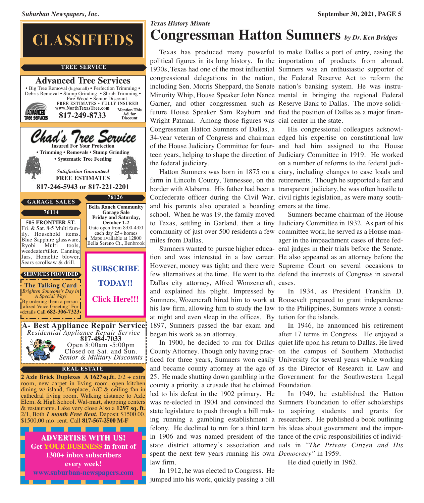

# **Congressman Hatton Sumners** *by Dr. Ken Bridges*

 Texas has produced many powerful to make Dallas a port of entry, easing the political figures in its long history. In the importation of products from abroad. 1930s, Texas had one of the most influential Sumners was an enthusiastic supporter of congressional delegations in the nation, the Federal Reserve Act to reform the including Sen. Morris Sheppard, the Senate nation's banking system. He was instru-Minority Whip, House Speaker John Nance mental in bringing the regional Federal Garner, and other congressmen such as Reserve Bank to Dallas. The move solidifuture House Speaker Sam Rayburn and fied the position of Dallas as a major finan-Wright Patman. Among those figures was cial center in the state. Congressman Hatton Sumners of Dallas, a 34-year veteran of Congress and chairman edged his expertise on constitutional law of the House Judiciary Committee for four-and had him assigned to the House teen years, helping to shape the direction of Judiciary Committee in 1919. He worked the federal judiciary.

 Hatton Sumners was born in 1875 on a ciary, including changes to case loads and farm in Lincoln County, Tennessee, on the retirements. Though he supported a fair and border with Alabama. His father had been a transparent judiciary, he was often hostile to Confederate officer during the Civil War, civil rights legislation, as were many southand his parents also operated a boarding erners at the time. school. When he was 19, the family moved to Texas, settling in Garland, then a tiny Judiciary Committee in 1932. As part of his community of just over 500 residents a few committee work, he served as a House manmiles from Dallas.

 Sumners wanted to pursue higher educa-eral judges in their trials before the Senate. tion and was interested in a law career. He also appeared as an attorney before the However, money was tight; and there were Supreme Court on several occasions to few alternatives at the time. He went to the defend the interests of Congress in several Dallas city attorney, Alfred Wonzencraft, cases. and explained his plight. Impressed by Sumners, Wozencraft hired him to work at Roosevelt prepared to grant independence his law firm, allowing him to study the law to the Philippines, Sumners wrote a constiat night and even sleep in the offices. By tution for the islands. 1897, Sumners passed the bar exam and began his work as an attorney.

 In 1900, he decided to run for Dallas quiet life upon his return to Dallas. He lived County Attorney. Though only having prac-on the campus of Southern Methodist ticed for three years, Sumners won easily University for several years while working and became county attorney at the age of as the Director of Research in Law and 25. He made shutting down gambling in the Government for the Southwestern Legal county a priority, a crusade that he claimed Foundation. led to his defeat in the 1902 primary. He was re-elected in 1904 and convinced the Sumners Foundation to offer scholarships state legislature to push through a bill mak-to aspiring students and grants for ing running a gambling establishment a researchers. He published a book outlining felony. He declined to run for a third term his ideas about government and the imporin 1906 and was named president of the tance of the civic responsibilities of individstate district attorney's association and uals in "*The Private Citizen and His* spent the next few years running his own *Democracy"* in 1959. law firm.

 In 1912, he was elected to Congress. He jumped into his work, quickly passing a bill

 His congressional colleagues acknowlon a number of reforms to the federal judi-

 Sumners became chairman of the House ager in the impeachment cases of three fed-

In 1934, as President Franklin D.

 In 1946, he announced his retirement after 17 terms in Congress. He enjoyed a

In 1949, he established the Hatton

He died quietly in 1962.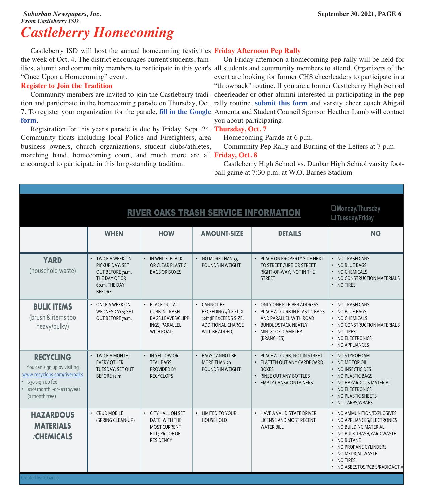### *Suburban Newspapers, Inc.* **September 30, 2021, PAGE 6** *From Castleberry ISD Castleberry Homecoming*

 Castleberry ISD will host the annual homecoming festivities **Friday Afternoon Pep Rally** the week of Oct. 4. The district encourages current students, families, alumni and community members to participate in this year's all students and community members to attend. Organizers of the "Once Upon a Homecoming" event.

### **Register to Join the Tradition**

 Community members are invited to join the Castleberry tradi-cheerleader or other alumni interested in participating in the pep tion and participate in the homecoming parade on Thursday, Oct. rally routine, **[submit](https://docs.google.com/forms/d/e/1FAIpQLSfdh1PALT4C0xuNYWX7Dk70rV3tg6ly_N2sT85z3cA8EfQ5Vg/viewform) this form** and varsity cheer coach Abigail 7. To register your organization for the parade, **fill in the [Google](https://forms.gle/oXJ49BbpJ4VPksNg7)** Armenta and Student Council Sponsor Heather Lamb will contact **[form](https://forms.gle/oXJ49BbpJ4VPksNg7)**.

 Registration for this year's parade is due by Friday, Sept. 24. **Thursday, Oct. 7** Community floats including local Police and Firefighters, area business owners, church organizations, student clubs/athletes, marching band, homecoming court, and much more are all **Friday, Oct. 8** encouraged to participate in this long-standing tradition.

 On Friday afternoon a homecoming pep rally will be held for event are looking for former CHS cheerleaders to participate in a "throwback" routine. If you are a former Castleberry High School you about participating.

Homecoming Parade at 6 p.m.

Community Pep Rally and Burning of the Letters at 7 p.m.

 Castleberry High School vs. Dunbar High School varsity football game at 7:30 p.m. at W.O. Barnes Stadium

|                                                                                                                                                     | $\Box$ Monday/Thursday<br>$\Box$ Tuesday/Friday                                                             |                                                                                                    |                                                                                                             |                                                                                                                                                               |                                                                                                                                                                                                                                  |
|-----------------------------------------------------------------------------------------------------------------------------------------------------|-------------------------------------------------------------------------------------------------------------|----------------------------------------------------------------------------------------------------|-------------------------------------------------------------------------------------------------------------|---------------------------------------------------------------------------------------------------------------------------------------------------------------|----------------------------------------------------------------------------------------------------------------------------------------------------------------------------------------------------------------------------------|
|                                                                                                                                                     | <b>WHEN</b>                                                                                                 | <b>HOW</b>                                                                                         | <b>AMOUNT/SIZE</b>                                                                                          | <b>DETAILS</b>                                                                                                                                                | <b>NO</b>                                                                                                                                                                                                                        |
| <b>YARD</b><br>(household waste)                                                                                                                    | • TWICE A WEEK ON<br>PICKUP DAY; SET<br>OUT BEFORE 7a.m.<br>THE DAY OF OR<br>6p.m. THE DAY<br><b>BEFORE</b> | • IN WHITE, BLACK,<br>OR CLEAR PLASTIC<br><b>BAGS OR BOXES</b>                                     | • NO MORE THAN 55<br>POUNDS IN WEIGHT                                                                       | • PLACE ON PROPERTY SIDE NEXT<br>TO STREET CURB OR STREET<br>RIGHT-OF-WAY, NOT IN THE<br><b>STREET</b>                                                        | • NO TRASH CANS<br>• NO BLUE BAGS<br>• NO CHEMICALS<br>• NO CONSTRUCTION MATERIALS<br>• NO TIRES                                                                                                                                 |
| <b>BULK ITEMS</b><br>(brush & items too<br>heavy/bulky)                                                                                             | ONCE A WEEK ON<br>WEDNESDAYS; SET<br>OUT BEFORE 7a.m.                                                       | • PLACE OUT AT<br><b>CURB IN TRASH</b><br>BAGS, LEAVES/CLIPP<br>INGS, PARALLEL<br><b>WITH ROAD</b> | • CANNOT BE<br>EXCEEDING $4$ ft X $4$ ft X<br>12ft (IF EXCEEDS SIZE,<br>ADDITIONAL CHARGE<br>WILL BE ADDED) | • ONLY ONE PILE PER ADDRESS<br>• PLACE AT CURB IN PLASTIC BAGS<br>AND PARALLEL WITH ROAD<br><b>BUNDLE/STACK NEATLY</b><br>• MIN. 8" OF DIAMETER<br>(BRANCHES) | • NO TRASH CANS<br>• NO BLUE BAGS<br>• NO CHEMICALS<br>• NO CONSTRUCTION MATERIALS<br>• NO TIRES<br>• NO ELECTRONICS<br>• NO APPLIANCES                                                                                          |
| <b>RECYCLING</b><br>You can sign up by visiting<br>www.recyclops.com/riveroaks<br>\$30 sign up fee<br>\$10/ month -or- \$110/year<br>(1 month free) | • TWICE A MONTH;<br><b>EVERY OTHER</b><br>TUESDAY; SET OUT<br>BEFORE 7a.m.                                  | • IN YELLOW OR<br><b>TEAL BAGS</b><br>PROVIDED BY<br><b>RECYCLOPS</b>                              | • BAGS CANNOT BE<br>MORE THAN 50<br>POUNDS IN WEIGHT                                                        | • PLACE AT CURB, NOT IN STREET<br>• FLATTEN OUT ANY CARDBOARD<br><b>BOXES</b><br>RINSE OUT ANY BOTTLES<br><b>EMPTY CANS/CONTAINERS</b>                        | • NO STYROFOAM<br>$\cdot$ NO MOTOR OIL<br>• NO INSECTICIDES<br>• NO PLASTIC BAGS<br>• NO HAZARDOUS MATERIAL<br>NO ELECTRONICS<br>NO PLASTIC SHEETS<br>• NO TARPS/WRAPS                                                           |
| <b>HAZARDOUS</b><br><b>MATERIALS</b><br><b>CHEMICALS</b>                                                                                            | <b>CRUD MOBILE</b><br>(SPRING CLEAN-UP)                                                                     | • CITY HALL ON SET<br>DATE, WITH THE<br><b>MOST CURRENT</b><br>BILL; PROOF OF<br><b>RESIDENCY</b>  | <b>LIMITED TO YOUR</b><br>$\bullet$<br>HOUSEHOLD                                                            | • HAVE A VALID STATE DRIVER<br>LICENSE AND MOST RECENT<br><b>WATER BILL</b>                                                                                   | • NO AMMUNITION/EXPLOSIVES<br>• NO APPLIANCES/ELECTRONICS<br>• NO BUILDING MATERIAL<br>• NO BULK TRASH/YARD WASTE<br>• NO BUTANE<br>• NO PROPANE CYLINDERS<br>• NO MEDICAL WASTE<br>• NO TIRES<br>• NO ASBESTOS/PCB'S/RADIOACTIV |